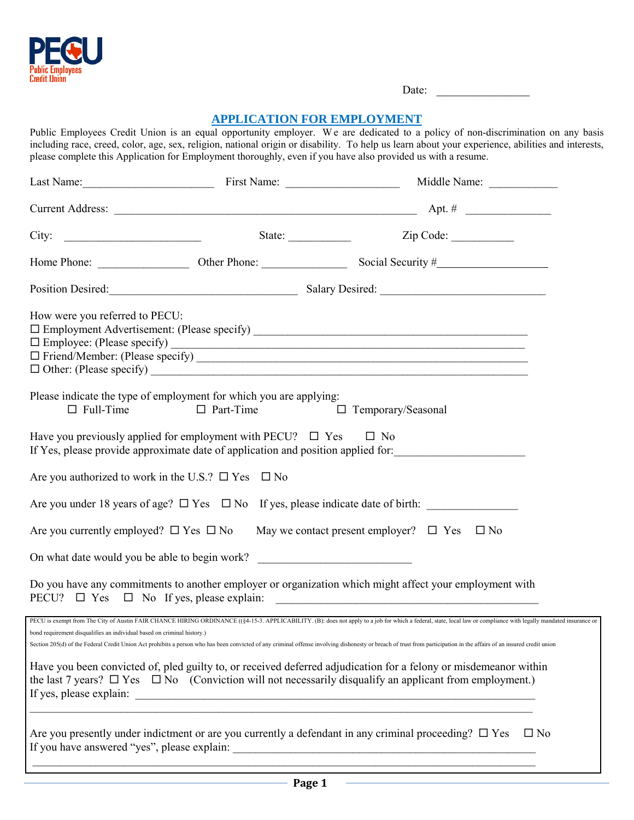

Date: \_\_\_\_\_\_\_\_\_\_\_\_\_\_\_

## **APPLICATION FOR EMPLOYMENT**

Public Employees Credit Union is an equal opportunity employer. We are dedicated to a policy of non-discrimination on any basis including race, creed, color, age, sex, religion, national origin or disability. To help us learn about your experience, abilities and interests, please complete this Application for Employment thoroughly, even if you have also provided us with a resume.

| Last Name: First Name:                                                                 |                  |                                                                                                                                                                                                                                                                                                                                                                                                                                            |
|----------------------------------------------------------------------------------------|------------------|--------------------------------------------------------------------------------------------------------------------------------------------------------------------------------------------------------------------------------------------------------------------------------------------------------------------------------------------------------------------------------------------------------------------------------------------|
|                                                                                        |                  |                                                                                                                                                                                                                                                                                                                                                                                                                                            |
| City:                                                                                  |                  | Zip Code:<br>State:                                                                                                                                                                                                                                                                                                                                                                                                                        |
|                                                                                        |                  |                                                                                                                                                                                                                                                                                                                                                                                                                                            |
|                                                                                        |                  | Position Desired: Salary Desired: Salary Desired:                                                                                                                                                                                                                                                                                                                                                                                          |
| How were you referred to PECU:                                                         |                  | □ Employment Advertisement: (Please specify) ___________________________________<br>$\Box$ Employee: (Please specify) $\Box$                                                                                                                                                                                                                                                                                                               |
| Please indicate the type of employment for which you are applying:<br>$\Box$ Full-Time | $\Box$ Part-Time | $\Box$ Temporary/Seasonal                                                                                                                                                                                                                                                                                                                                                                                                                  |
| Have you previously applied for employment with PECU? $\Box$ Yes $\Box$ No             |                  | If Yes, please provide approximate date of application and position applied for:                                                                                                                                                                                                                                                                                                                                                           |
| Are you authorized to work in the U.S.? $\square$ Yes $\square$ No                     |                  |                                                                                                                                                                                                                                                                                                                                                                                                                                            |
|                                                                                        |                  | Are you under 18 years of age? $\Box$ Yes $\Box$ No If yes, please indicate date of birth:                                                                                                                                                                                                                                                                                                                                                 |
|                                                                                        |                  | Are you currently employed? $\Box$ Yes $\Box$ No May we contact present employer? $\Box$ Yes $\Box$ No                                                                                                                                                                                                                                                                                                                                     |
| On what date would you be able to begin work? __________________________________       |                  |                                                                                                                                                                                                                                                                                                                                                                                                                                            |
|                                                                                        |                  | Do you have any commitments to another employer or organization which might affect your employment with                                                                                                                                                                                                                                                                                                                                    |
| bond requirement disqualifies an individual based on criminal history.)                |                  | PECU is exempt from The City of Austin FAIR CHANCE HIRING ORDINANCE ((§4-15-3. APPLICABILITY. (B): does not apply to a job for which a federal, state, local law or compliance with legally mandated insurance or<br>Section 205(d) of the Federal Credit Union Act prohibits a person who has been convicted of any criminal offense involving dishonesty or breach of trust from participation in the affairs of an insured credit union |
|                                                                                        |                  | Have you been convicted of, pled guilty to, or received deferred adjudication for a felony or misdemeanor within<br>the last 7 years? $\Box$ Yes $\Box$ No (Conviction will not necessarily disqualify an applicant from employment.)                                                                                                                                                                                                      |
|                                                                                        |                  | Are you presently under indictment or are you currently a defendant in any criminal proceeding? $\Box$ Yes<br>$\Box$ No                                                                                                                                                                                                                                                                                                                    |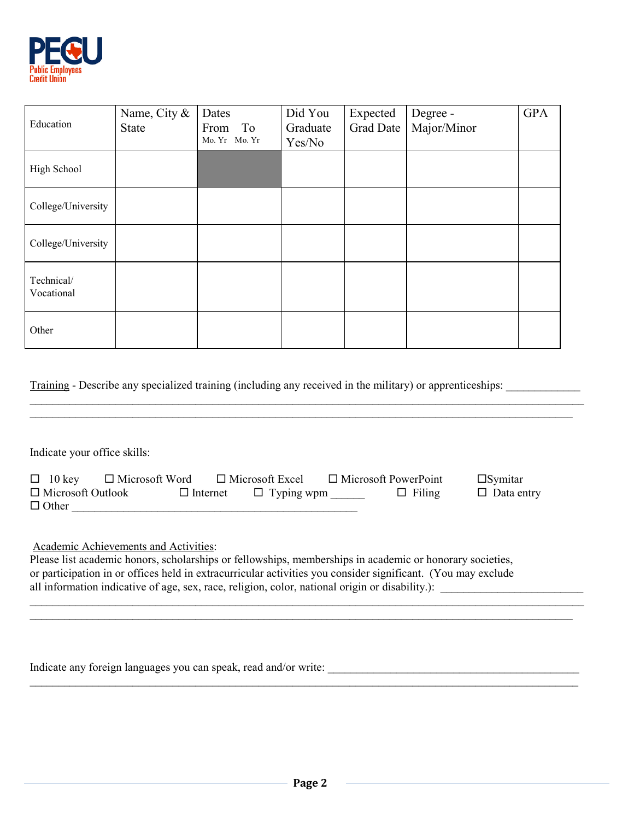

| Education                | Name, City &<br><b>State</b> | Dates<br>To<br>From<br>Mo. Yr Mo. Yr | Did You<br>Graduate<br>Yes/No | Expected<br><b>Grad Date</b> | Degree -<br>Major/Minor | <b>GPA</b> |
|--------------------------|------------------------------|--------------------------------------|-------------------------------|------------------------------|-------------------------|------------|
| High School              |                              |                                      |                               |                              |                         |            |
| College/University       |                              |                                      |                               |                              |                         |            |
| College/University       |                              |                                      |                               |                              |                         |            |
| Technical/<br>Vocational |                              |                                      |                               |                              |                         |            |
| Other                    |                              |                                      |                               |                              |                         |            |

Training - Describe any specialized training (including any received in the military) or apprenticeships: \_\_\_\_\_\_\_\_\_\_\_\_\_

Indicate your office skills:

| $\Box$ 10 key            | $\Box$ Microsoft Word |                 | $\Box$ Microsoft Excel     | $\Box$ Microsoft PowerPoint |               | $\square$ Symitar |
|--------------------------|-----------------------|-----------------|----------------------------|-----------------------------|---------------|-------------------|
| $\Box$ Microsoft Outlook |                       | $\Box$ Internet | $\Box$ Typing wpm ________ |                             | $\Box$ Filing | $\Box$ Data entry |
| $\Box$ Other             |                       |                 |                            |                             |               |                   |

\_\_\_\_\_\_\_\_\_\_\_\_\_\_\_\_\_\_\_\_\_\_\_\_\_\_\_\_\_\_\_\_\_\_\_\_\_\_\_\_\_\_\_\_\_\_\_\_\_\_\_\_\_\_\_\_\_\_\_\_\_\_\_\_\_\_\_\_\_\_\_\_\_\_\_\_\_\_\_\_\_\_\_\_\_\_\_\_\_\_\_\_\_\_\_

\_\_\_\_\_\_\_\_\_\_\_\_\_\_\_\_\_\_\_\_\_\_\_\_\_\_\_\_\_\_\_\_\_\_\_\_\_\_\_\_\_\_\_\_\_\_\_\_\_\_\_\_\_\_\_\_\_\_\_\_\_\_\_\_\_\_\_\_\_\_\_\_\_\_\_\_\_\_\_\_\_\_\_\_\_\_\_\_\_\_\_\_\_\_\_

 $\mathcal{L}_\mathcal{L} = \mathcal{L}_\mathcal{L} = \mathcal{L}_\mathcal{L} = \mathcal{L}_\mathcal{L} = \mathcal{L}_\mathcal{L} = \mathcal{L}_\mathcal{L} = \mathcal{L}_\mathcal{L} = \mathcal{L}_\mathcal{L} = \mathcal{L}_\mathcal{L} = \mathcal{L}_\mathcal{L} = \mathcal{L}_\mathcal{L} = \mathcal{L}_\mathcal{L} = \mathcal{L}_\mathcal{L} = \mathcal{L}_\mathcal{L} = \mathcal{L}_\mathcal{L} = \mathcal{L}_\mathcal{L} = \mathcal{L}_\mathcal{L}$ 

\_\_\_\_\_\_\_\_\_\_\_\_\_\_\_\_\_\_\_\_\_\_\_\_\_\_\_\_\_\_\_\_\_\_\_\_\_\_\_\_\_\_\_\_\_\_\_\_\_\_\_\_\_\_\_\_\_\_\_\_\_\_\_\_\_\_\_\_\_\_\_\_\_\_\_\_\_\_\_\_\_\_\_\_\_\_\_\_\_\_\_\_\_\_\_\_\_

Academic Achievements and Activities:

Please list academic honors, scholarships or fellowships, memberships in academic or honorary societies, or participation in or offices held in extracurricular activities you consider significant. (You may exclude all information indicative of age, sex, race, religion, color, national origin or disability.): \_\_\_\_\_\_\_\_\_\_\_\_\_\_

Indicate any foreign languages you can speak, read and/or write: \_\_\_\_\_\_\_\_\_\_\_\_\_\_\_\_\_\_\_\_\_\_\_\_\_\_\_\_\_\_\_\_\_\_\_\_\_\_\_\_\_\_\_\_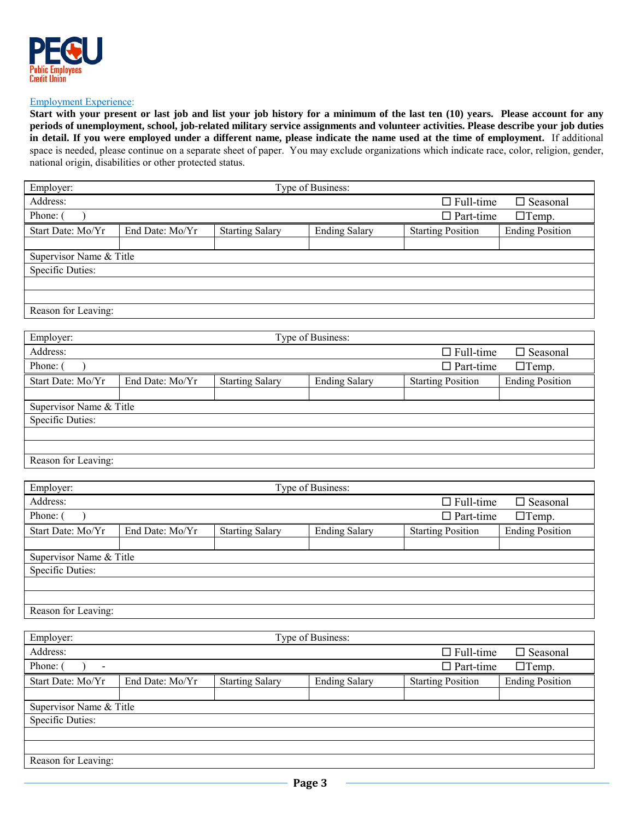

Employment Experience:

**Start with your present or last job and list your job history for a minimum of the last ten (10) years. Please account for any periods of unemployment, school, job-related military service assignments and volunteer activities. Please describe your job duties in detail. If you were employed under a different name, please indicate the name used at the time of employment.** If additional space is needed, please continue on a separate sheet of paper. You may exclude organizations which indicate race, color, religion, gender, national origin, disabilities or other protected status.

| Employer:                                                      |                                     |                        | Type of Business:    |                              |                        |  |  |
|----------------------------------------------------------------|-------------------------------------|------------------------|----------------------|------------------------------|------------------------|--|--|
| Address:                                                       | $\Box$ Full-time<br>$\Box$ Seasonal |                        |                      |                              |                        |  |  |
| Phone: (<br>$\Box$ Part-time<br>$\Box$ Temp.                   |                                     |                        |                      |                              |                        |  |  |
| Start Date: Mo/Yr                                              | End Date: Mo/Yr                     | <b>Starting Salary</b> | <b>Ending Salary</b> | <b>Starting Position</b>     | <b>Ending Position</b> |  |  |
|                                                                |                                     |                        |                      |                              |                        |  |  |
| Supervisor Name & Title<br>Specific Duties:                    |                                     |                        |                      |                              |                        |  |  |
|                                                                |                                     |                        |                      |                              |                        |  |  |
|                                                                |                                     |                        |                      |                              |                        |  |  |
| Reason for Leaving:                                            |                                     |                        |                      |                              |                        |  |  |
|                                                                |                                     |                        |                      |                              |                        |  |  |
| Employer:                                                      |                                     |                        | Type of Business:    |                              |                        |  |  |
| Address:                                                       |                                     |                        |                      | $\Box$ Full-time             | $\Box$ Seasonal        |  |  |
| Phone: (                                                       |                                     |                        |                      | $\overline{\Box P}$ art-time | $\Box$ Temp.           |  |  |
| Start Date: Mo/Yr                                              | End Date: Mo/Yr                     | <b>Starting Salary</b> | <b>Ending Salary</b> | <b>Starting Position</b>     | <b>Ending Position</b> |  |  |
|                                                                |                                     |                        |                      |                              |                        |  |  |
| Supervisor Name & Title<br>Specific Duties:                    |                                     |                        |                      |                              |                        |  |  |
|                                                                |                                     |                        |                      |                              |                        |  |  |
|                                                                |                                     |                        |                      |                              |                        |  |  |
| Reason for Leaving:                                            |                                     |                        |                      |                              |                        |  |  |
|                                                                |                                     |                        |                      |                              |                        |  |  |
| Employer:                                                      |                                     |                        | Type of Business:    |                              |                        |  |  |
| Address:                                                       |                                     |                        |                      | $\Box$ Full-time             | $\Box$ Seasonal        |  |  |
| Phone: (                                                       |                                     |                        |                      | $\Box$ Part-time             | $\Box$ Temp.           |  |  |
| Start Date: Mo/Yr                                              | End Date: Mo/Yr                     | <b>Starting Salary</b> | <b>Ending Salary</b> | <b>Starting Position</b>     | <b>Ending Position</b> |  |  |
|                                                                |                                     |                        |                      |                              |                        |  |  |
| Supervisor Name & Title<br><b>Specific Duties:</b>             |                                     |                        |                      |                              |                        |  |  |
|                                                                |                                     |                        |                      |                              |                        |  |  |
|                                                                |                                     |                        |                      |                              |                        |  |  |
| Reason for Leaving:                                            |                                     |                        |                      |                              |                        |  |  |
|                                                                |                                     |                        |                      |                              |                        |  |  |
| Employer:<br>Type of Business:                                 |                                     |                        |                      |                              |                        |  |  |
| Address:                                                       |                                     |                        |                      | $\Box$ Full-time             | $\Box$ Seasonal        |  |  |
| Phone: (<br>$\Box$ Part-time<br>$\Box$ Temp.<br>$\blacksquare$ |                                     |                        |                      |                              |                        |  |  |

Supervisor Name & Title Specific Duties: Reason for Leaving: Start Date: Mo/Yr | End Date: Mo/Yr | Starting Salary | Ending Salary | Starting Position | Ending Position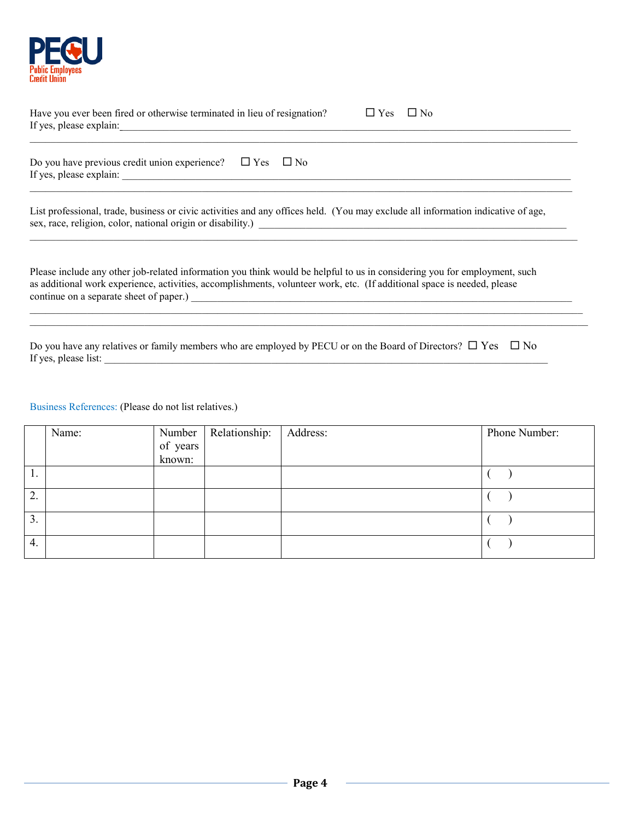

| $\Box$ Yes $\Box$ No<br>Have you ever been fired or otherwise terminated in lieu of resignation?                                                                                                                                                     |  |  |  |  |  |  |
|------------------------------------------------------------------------------------------------------------------------------------------------------------------------------------------------------------------------------------------------------|--|--|--|--|--|--|
| Do you have previous credit union experience? $\Box$ Yes $\Box$ No                                                                                                                                                                                   |  |  |  |  |  |  |
| List professional, trade, business or civic activities and any offices held. (You may exclude all information indicative of age,                                                                                                                     |  |  |  |  |  |  |
| Please include any other job-related information you think would be helpful to us in considering you for employment, such<br>as additional work experience, activities, accomplishments, volunteer work, etc. (If additional space is needed, please |  |  |  |  |  |  |
| Do you have any relatives or family members who are employed by PECU or on the Board of Directors? $\Box$ Yes $\Box$ No                                                                                                                              |  |  |  |  |  |  |

If yes, please list: \_\_\_\_\_\_\_\_\_\_\_\_\_\_\_\_\_\_\_\_\_\_\_\_\_\_\_\_\_\_\_\_\_\_\_\_\_\_\_\_\_\_\_\_\_\_\_\_\_\_\_\_\_\_\_\_\_\_\_\_\_\_\_\_\_\_\_\_\_\_\_\_\_\_\_\_\_\_\_\_\_\_\_\_\_

Business References: (Please do not list relatives.)

|    | Name: |          | Number   Relationship: | Address: | Phone Number: |
|----|-------|----------|------------------------|----------|---------------|
|    |       | of years |                        |          |               |
|    |       | known:   |                        |          |               |
|    |       |          |                        |          |               |
| 2. |       |          |                        |          |               |
| 3. |       |          |                        |          |               |
| 4. |       |          |                        |          |               |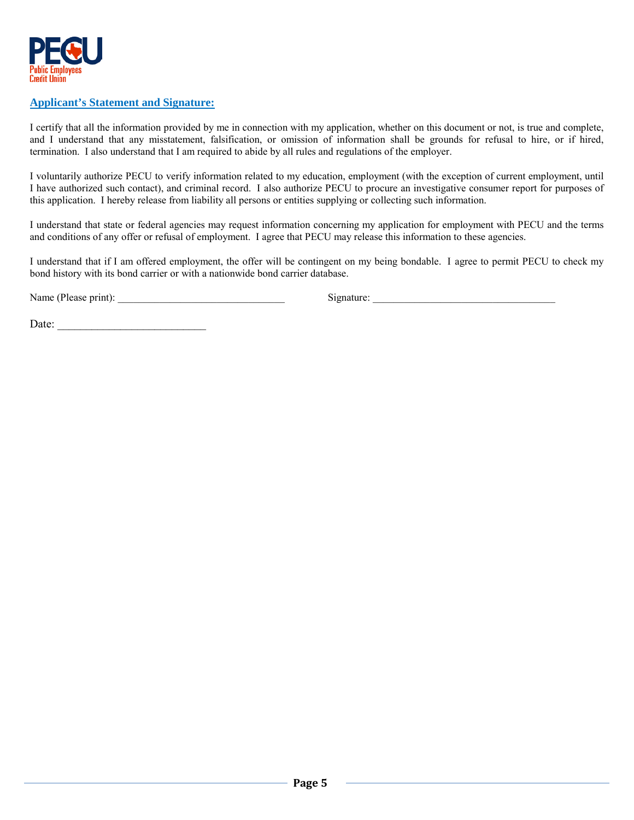

## **Applicant's Statement and Signature:**

I certify that all the information provided by me in connection with my application, whether on this document or not, is true and complete, and I understand that any misstatement, falsification, or omission of information shall be grounds for refusal to hire, or if hired, termination. I also understand that I am required to abide by all rules and regulations of the employer.

I voluntarily authorize PECU to verify information related to my education, employment (with the exception of current employment, until I have authorized such contact), and criminal record. I also authorize PECU to procure an investigative consumer report for purposes of this application. I hereby release from liability all persons or entities supplying or collecting such information.

I understand that state or federal agencies may request information concerning my application for employment with PECU and the terms and conditions of any offer or refusal of employment. I agree that PECU may release this information to these agencies.

I understand that if I am offered employment, the offer will be contingent on my being bondable. I agree to permit PECU to check my bond history with its bond carrier or with a nationwide bond carrier database.

Name (Please print): \_\_\_\_\_\_\_\_\_\_\_\_\_\_\_\_\_\_\_\_\_\_\_\_\_\_\_\_\_\_\_\_ Signature: \_\_\_\_\_\_\_\_\_\_\_\_\_\_\_\_\_\_\_\_\_\_\_\_\_\_\_\_\_\_\_\_\_\_\_

Date: